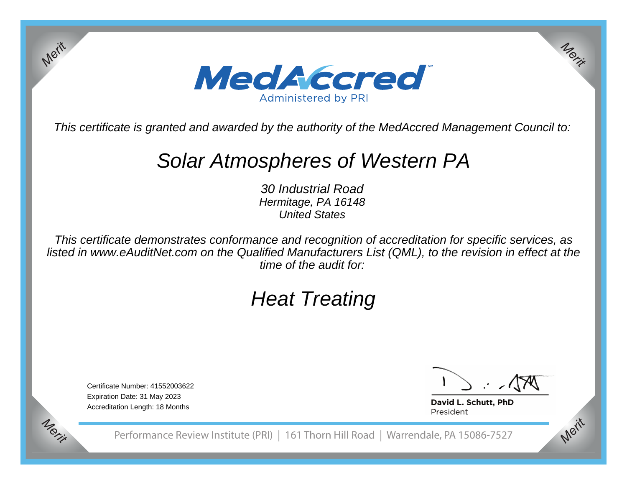

This certificate is granted and awarded by the authority of the MedAccred Management Council to:

# Solar Atmospheres of Western PA

30 Industrial Road Hermitage, PA 16148United States

This certificate demonstrates conformance and recognition of accreditation for specific services, as listed in www.eAuditNet.com on the Qualified Manufacturers List (QML), to the revision in effect at thetime of the audit for:

# Heat Treating

Certificate Number: 41552003622Expiration Date: 31 May 2023Accreditation Length: 18 Months

*Merit*

*Merit*

*Merit*

*Merit*

David L. Schutt, PhD President

Performance Review Institute (PRI) | 161 Thorn Hill Road | Warrendale, PA 15086-7527